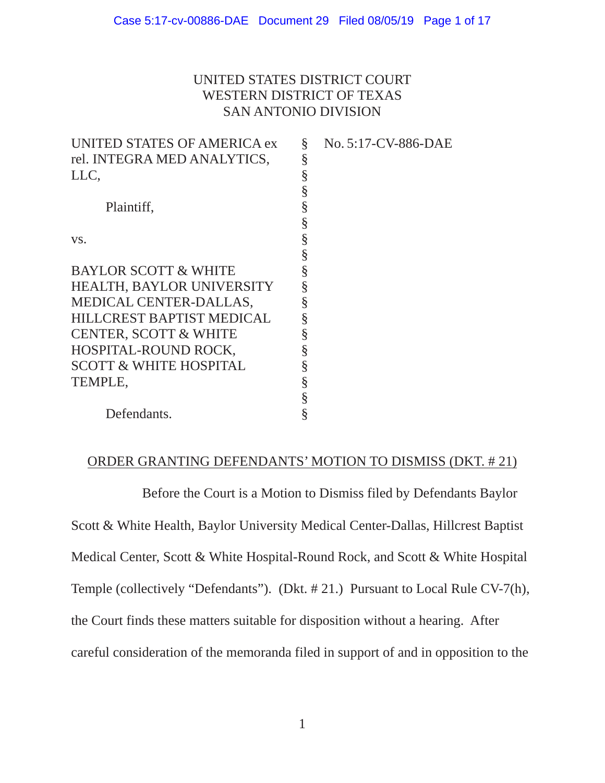# UNITED STATES DISTRICT COURT WESTERN DISTRICT OF TEXAS SAN ANTONIO DIVISION

| UNITED STATES OF AMERICA ex       | § | No. 5:17-CV-886-DAE |
|-----------------------------------|---|---------------------|
| rel. INTEGRA MED ANALYTICS,       | § |                     |
| LLC,                              | § |                     |
|                                   |   |                     |
| Plaintiff,                        | § |                     |
|                                   | § |                     |
| VS.                               | § |                     |
|                                   |   |                     |
| <b>BAYLOR SCOTT &amp; WHITE</b>   |   |                     |
| <b>HEALTH, BAYLOR UNIVERSITY</b>  |   |                     |
| MEDICAL CENTER-DALLAS,            |   |                     |
| <b>HILLCREST BAPTIST MEDICAL</b>  | § |                     |
| <b>CENTER, SCOTT &amp; WHITE</b>  | § |                     |
| HOSPITAL-ROUND ROCK,              |   |                     |
| <b>SCOTT &amp; WHITE HOSPITAL</b> |   |                     |
| TEMPLE,                           |   |                     |
|                                   |   |                     |
| Defendants.                       |   |                     |

## ORDER GRANTING DEFENDANTS' MOTION TO DISMISS (DKT. # 21)

Before the Court is a Motion to Dismiss filed by Defendants Baylor Scott & White Health, Baylor University Medical Center-Dallas, Hillcrest Baptist Medical Center, Scott & White Hospital-Round Rock, and Scott & White Hospital Temple (collectively "Defendants"). (Dkt. # 21.) Pursuant to Local Rule CV-7(h), the Court finds these matters suitable for disposition without a hearing. After careful consideration of the memoranda filed in support of and in opposition to the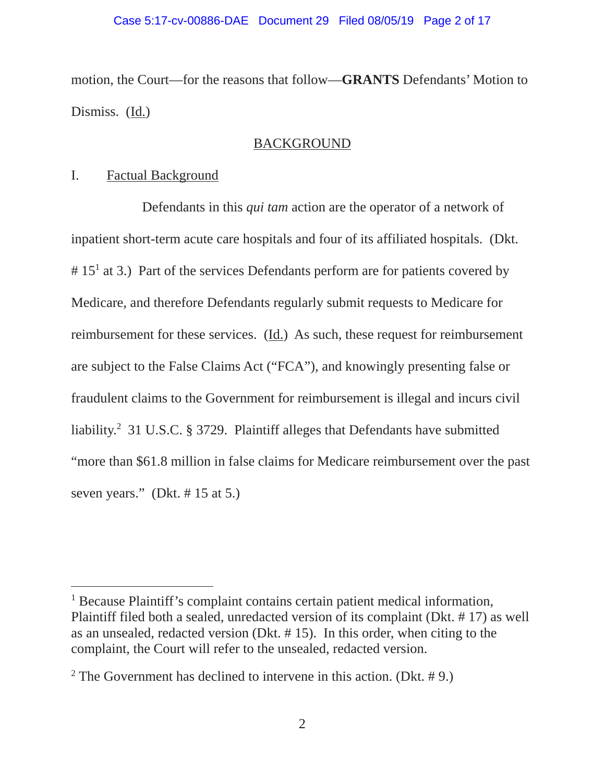motion, the Court—for the reasons that follow—**GRANTS** Defendants' Motion to Dismiss. (Id.)

## BACKGROUND

## I. Factual Background

 $\overline{a}$ 

 Defendants in this *qui tam* action are the operator of a network of inpatient short-term acute care hospitals and four of its affiliated hospitals. (Dkt.  $# 15<sup>1</sup>$  at 3.) Part of the services Defendants perform are for patients covered by Medicare, and therefore Defendants regularly submit requests to Medicare for reimbursement for these services. (Id.) As such, these request for reimbursement are subject to the False Claims Act ("FCA"), and knowingly presenting false or fraudulent claims to the Government for reimbursement is illegal and incurs civil liability.<sup>2</sup> 31 U.S.C. § 3729. Plaintiff alleges that Defendants have submitted "more than \$61.8 million in false claims for Medicare reimbursement over the past seven years." (Dkt. # 15 at 5.)

<sup>&</sup>lt;sup>1</sup> Because Plaintiff's complaint contains certain patient medical information, Plaintiff filed both a sealed, unredacted version of its complaint (Dkt. # 17) as well as an unsealed, redacted version (Dkt. # 15). In this order, when citing to the complaint, the Court will refer to the unsealed, redacted version.

<sup>&</sup>lt;sup>2</sup> The Government has declined to intervene in this action. (Dkt.  $# 9$ .)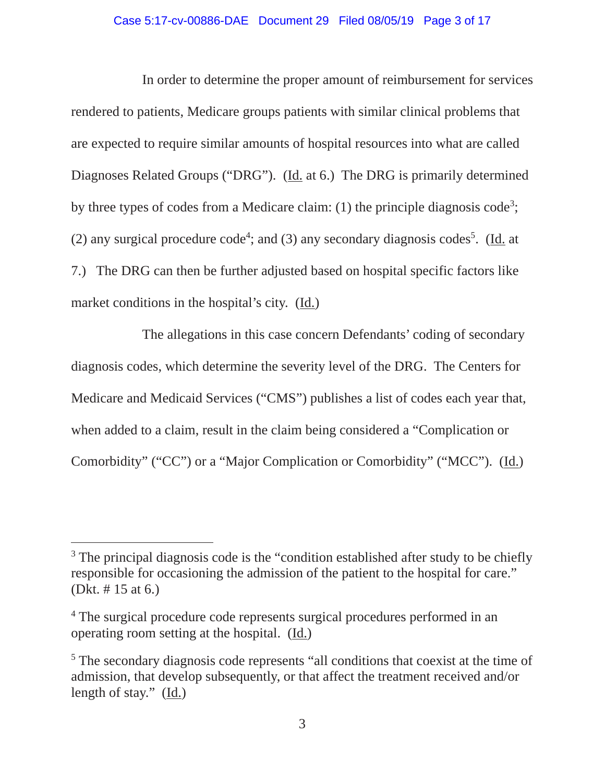#### Case 5:17-cv-00886-DAE Document 29 Filed 08/05/19 Page 3 of 17

 In order to determine the proper amount of reimbursement for services rendered to patients, Medicare groups patients with similar clinical problems that are expected to require similar amounts of hospital resources into what are called Diagnoses Related Groups ("DRG"). (Id. at 6.) The DRG is primarily determined by three types of codes from a Medicare claim: (1) the principle diagnosis code<sup>3</sup>; (2) any surgical procedure code<sup>4</sup>; and (3) any secondary diagnosis codes<sup>5</sup>. (Id. at 7.) The DRG can then be further adjusted based on hospital specific factors like market conditions in the hospital's city. (Id.)

 The allegations in this case concern Defendants' coding of secondary diagnosis codes, which determine the severity level of the DRG. The Centers for Medicare and Medicaid Services ("CMS") publishes a list of codes each year that, when added to a claim, result in the claim being considered a "Complication or Comorbidity" ("CC") or a "Major Complication or Comorbidity" ("MCC"). (Id.)

 $\overline{a}$ 

<sup>&</sup>lt;sup>3</sup> The principal diagnosis code is the "condition established after study to be chiefly responsible for occasioning the admission of the patient to the hospital for care." (Dkt. # 15 at 6.)

<sup>&</sup>lt;sup>4</sup> The surgical procedure code represents surgical procedures performed in an operating room setting at the hospital. (Id.)

<sup>&</sup>lt;sup>5</sup> The secondary diagnosis code represents "all conditions that coexist at the time of admission, that develop subsequently, or that affect the treatment received and/or length of stay." (Id.)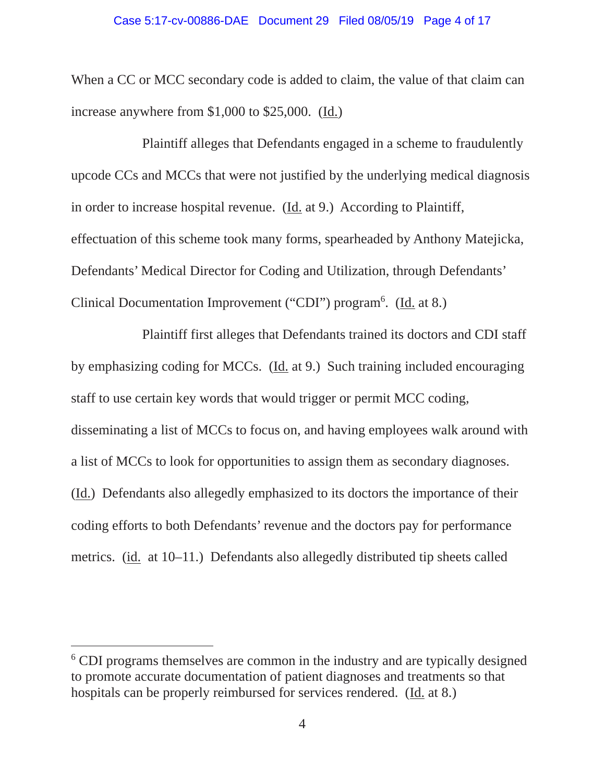#### Case 5:17-cv-00886-DAE Document 29 Filed 08/05/19 Page 4 of 17

When a CC or MCC secondary code is added to claim, the value of that claim can increase anywhere from \$1,000 to \$25,000. (Id.)

 Plaintiff alleges that Defendants engaged in a scheme to fraudulently upcode CCs and MCCs that were not justified by the underlying medical diagnosis in order to increase hospital revenue. (Id. at 9.) According to Plaintiff, effectuation of this scheme took many forms, spearheaded by Anthony Matejicka, Defendants' Medical Director for Coding and Utilization, through Defendants' Clinical Documentation Improvement ("CDI") program<sup>6</sup>. (Id. at 8.)

 Plaintiff first alleges that Defendants trained its doctors and CDI staff by emphasizing coding for MCCs. (Id. at 9.) Such training included encouraging staff to use certain key words that would trigger or permit MCC coding, disseminating a list of MCCs to focus on, and having employees walk around with a list of MCCs to look for opportunities to assign them as secondary diagnoses. (Id.) Defendants also allegedly emphasized to its doctors the importance of their coding efforts to both Defendants' revenue and the doctors pay for performance metrics. (id. at 10–11.) Defendants also allegedly distributed tip sheets called

 $\overline{a}$ 

<sup>&</sup>lt;sup>6</sup> CDI programs themselves are common in the industry and are typically designed to promote accurate documentation of patient diagnoses and treatments so that hospitals can be properly reimbursed for services rendered. (Id. at 8.)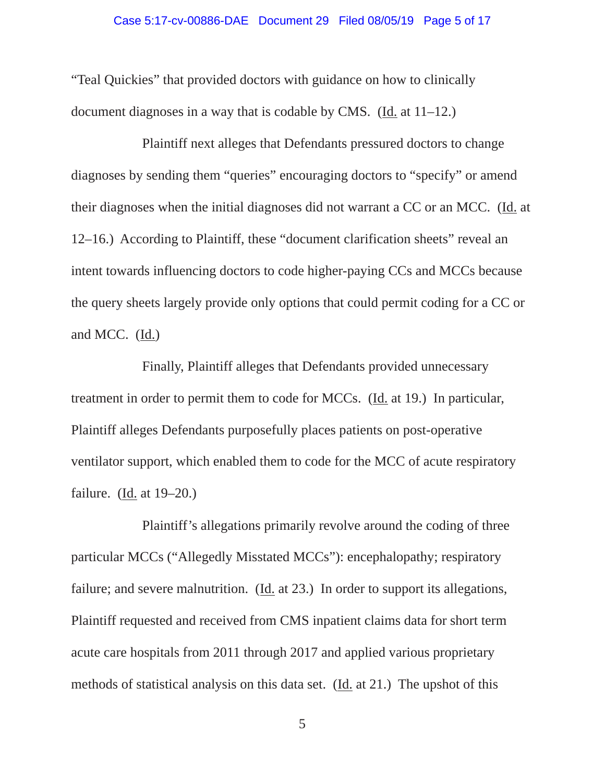#### Case 5:17-cv-00886-DAE Document 29 Filed 08/05/19 Page 5 of 17

"Teal Quickies" that provided doctors with guidance on how to clinically document diagnoses in a way that is codable by CMS. (Id. at 11–12.)

 Plaintiff next alleges that Defendants pressured doctors to change diagnoses by sending them "queries" encouraging doctors to "specify" or amend their diagnoses when the initial diagnoses did not warrant a CC or an MCC. (Id. at 12–16.) According to Plaintiff, these "document clarification sheets" reveal an intent towards influencing doctors to code higher-paying CCs and MCCs because the query sheets largely provide only options that could permit coding for a CC or and MCC. (Id.)

 Finally, Plaintiff alleges that Defendants provided unnecessary treatment in order to permit them to code for MCCs. (Id. at 19.) In particular, Plaintiff alleges Defendants purposefully places patients on post-operative ventilator support, which enabled them to code for the MCC of acute respiratory failure. (Id. at  $19-20$ .)

 Plaintiff's allegations primarily revolve around the coding of three particular MCCs ("Allegedly Misstated MCCs"): encephalopathy; respiratory failure; and severe malnutrition. (Id. at 23.) In order to support its allegations, Plaintiff requested and received from CMS inpatient claims data for short term acute care hospitals from 2011 through 2017 and applied various proprietary methods of statistical analysis on this data set. (Id. at 21.) The upshot of this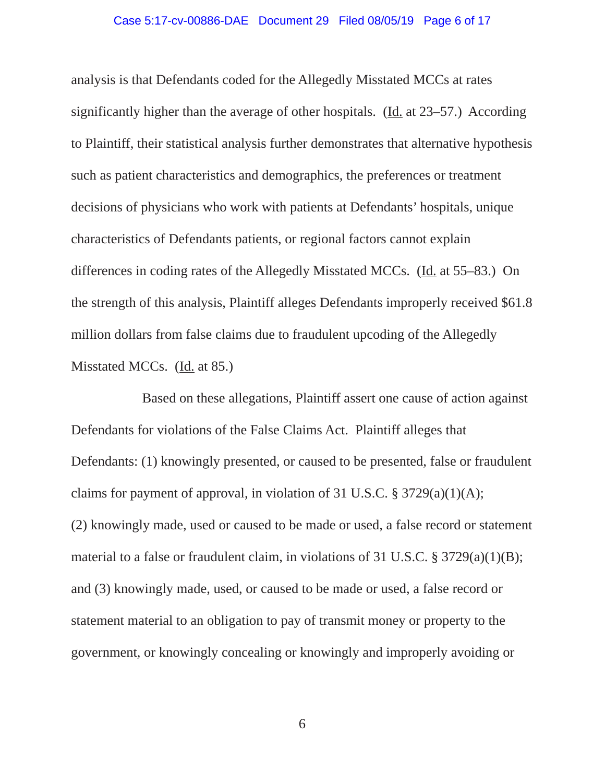#### Case 5:17-cv-00886-DAE Document 29 Filed 08/05/19 Page 6 of 17

analysis is that Defendants coded for the Allegedly Misstated MCCs at rates significantly higher than the average of other hospitals. (Id. at 23–57.) According to Plaintiff, their statistical analysis further demonstrates that alternative hypothesis such as patient characteristics and demographics, the preferences or treatment decisions of physicians who work with patients at Defendants' hospitals, unique characteristics of Defendants patients, or regional factors cannot explain differences in coding rates of the Allegedly Misstated MCCs. (Id. at 55–83.) On the strength of this analysis, Plaintiff alleges Defendants improperly received \$61.8 million dollars from false claims due to fraudulent upcoding of the Allegedly Misstated MCCs. (Id. at 85.)

 Based on these allegations, Plaintiff assert one cause of action against Defendants for violations of the False Claims Act. Plaintiff alleges that Defendants: (1) knowingly presented, or caused to be presented, false or fraudulent claims for payment of approval, in violation of 31 U.S.C.  $\S 3729(a)(1)(A);$ (2) knowingly made, used or caused to be made or used, a false record or statement material to a false or fraudulent claim, in violations of 31 U.S.C. § 3729(a)(1)(B); and (3) knowingly made, used, or caused to be made or used, a false record or statement material to an obligation to pay of transmit money or property to the government, or knowingly concealing or knowingly and improperly avoiding or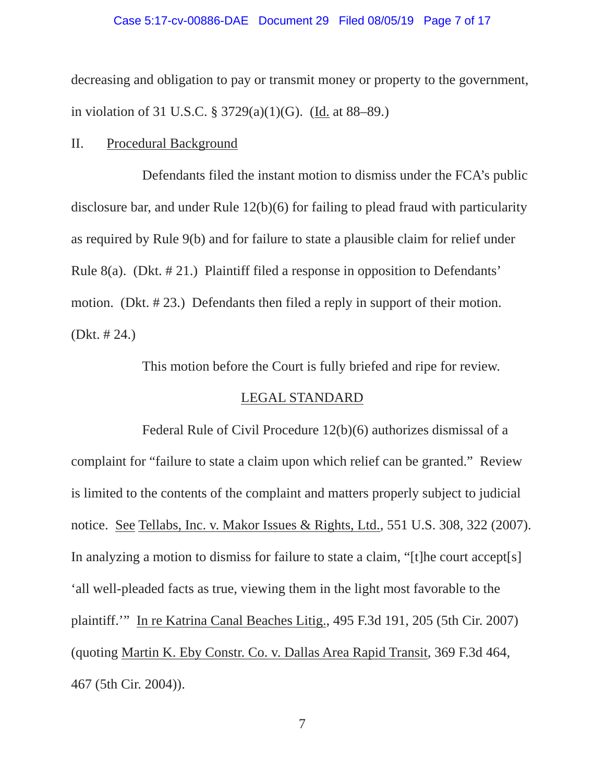#### Case 5:17-cv-00886-DAE Document 29 Filed 08/05/19 Page 7 of 17

decreasing and obligation to pay or transmit money or property to the government, in violation of 31 U.S.C. § 3729(a)(1)(G). (Id. at 88–89.)

## II. Procedural Background

 Defendants filed the instant motion to dismiss under the FCA's public disclosure bar, and under Rule 12(b)(6) for failing to plead fraud with particularity as required by Rule 9(b) and for failure to state a plausible claim for relief under Rule 8(a). (Dkt. # 21.) Plaintiff filed a response in opposition to Defendants' motion. (Dkt. # 23.) Defendants then filed a reply in support of their motion. (Dkt. # 24.)

This motion before the Court is fully briefed and ripe for review.

# LEGAL STANDARD

Federal Rule of Civil Procedure 12(b)(6) authorizes dismissal of a complaint for "failure to state a claim upon which relief can be granted." Review is limited to the contents of the complaint and matters properly subject to judicial notice. See Tellabs, Inc. v. Makor Issues & Rights, Ltd., 551 U.S. 308, 322 (2007). In analyzing a motion to dismiss for failure to state a claim, "[t]he court accept[s] 'all well-pleaded facts as true, viewing them in the light most favorable to the plaintiff.'" In re Katrina Canal Beaches Litig., 495 F.3d 191, 205 (5th Cir. 2007) (quoting Martin K. Eby Constr. Co. v. Dallas Area Rapid Transit, 369 F.3d 464, 467 (5th Cir. 2004)).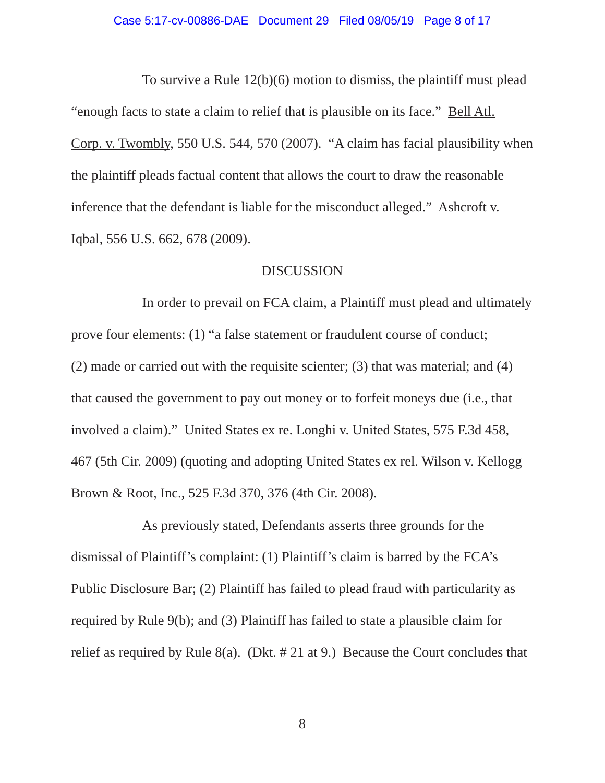### Case 5:17-cv-00886-DAE Document 29 Filed 08/05/19 Page 8 of 17

 To survive a Rule 12(b)(6) motion to dismiss, the plaintiff must plead "enough facts to state a claim to relief that is plausible on its face." Bell Atl. Corp. v. Twombly, 550 U.S. 544, 570 (2007). "A claim has facial plausibility when the plaintiff pleads factual content that allows the court to draw the reasonable inference that the defendant is liable for the misconduct alleged." Ashcroft v. Iqbal, 556 U.S. 662, 678 (2009).

### DISCUSSION

 In order to prevail on FCA claim, a Plaintiff must plead and ultimately prove four elements: (1) "a false statement or fraudulent course of conduct; (2) made or carried out with the requisite scienter; (3) that was material; and (4) that caused the government to pay out money or to forfeit moneys due (i.e., that involved a claim)." United States ex re. Longhi v. United States, 575 F.3d 458, 467 (5th Cir. 2009) (quoting and adopting United States ex rel. Wilson v. Kellogg Brown & Root, Inc., 525 F.3d 370, 376 (4th Cir. 2008).

 As previously stated, Defendants asserts three grounds for the dismissal of Plaintiff's complaint: (1) Plaintiff's claim is barred by the FCA's Public Disclosure Bar; (2) Plaintiff has failed to plead fraud with particularity as required by Rule 9(b); and (3) Plaintiff has failed to state a plausible claim for relief as required by Rule 8(a). (Dkt. # 21 at 9.) Because the Court concludes that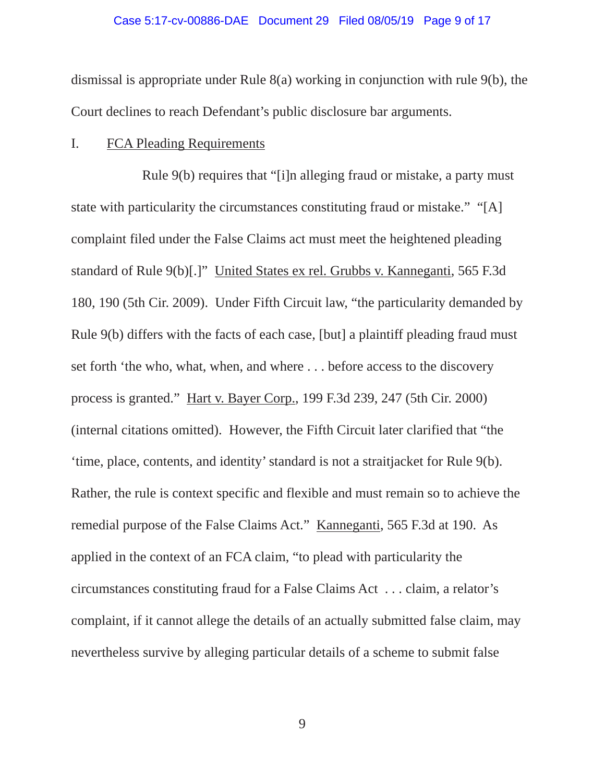#### Case 5:17-cv-00886-DAE Document 29 Filed 08/05/19 Page 9 of 17

dismissal is appropriate under Rule 8(a) working in conjunction with rule 9(b), the Court declines to reach Defendant's public disclosure bar arguments.

## I. FCA Pleading Requirements

 Rule 9(b) requires that "[i]n alleging fraud or mistake, a party must state with particularity the circumstances constituting fraud or mistake." "[A] complaint filed under the False Claims act must meet the heightened pleading standard of Rule 9(b)[.]" United States ex rel. Grubbs v. Kanneganti, 565 F.3d 180, 190 (5th Cir. 2009). Under Fifth Circuit law, "the particularity demanded by Rule 9(b) differs with the facts of each case, [but] a plaintiff pleading fraud must set forth 'the who, what, when, and where . . . before access to the discovery process is granted." Hart v. Bayer Corp., 199 F.3d 239, 247 (5th Cir. 2000) (internal citations omitted). However, the Fifth Circuit later clarified that "the 'time, place, contents, and identity' standard is not a straitjacket for Rule 9(b). Rather, the rule is context specific and flexible and must remain so to achieve the remedial purpose of the False Claims Act." Kanneganti, 565 F.3d at 190. As applied in the context of an FCA claim, "to plead with particularity the circumstances constituting fraud for a False Claims Act . . . claim, a relator's complaint, if it cannot allege the details of an actually submitted false claim, may nevertheless survive by alleging particular details of a scheme to submit false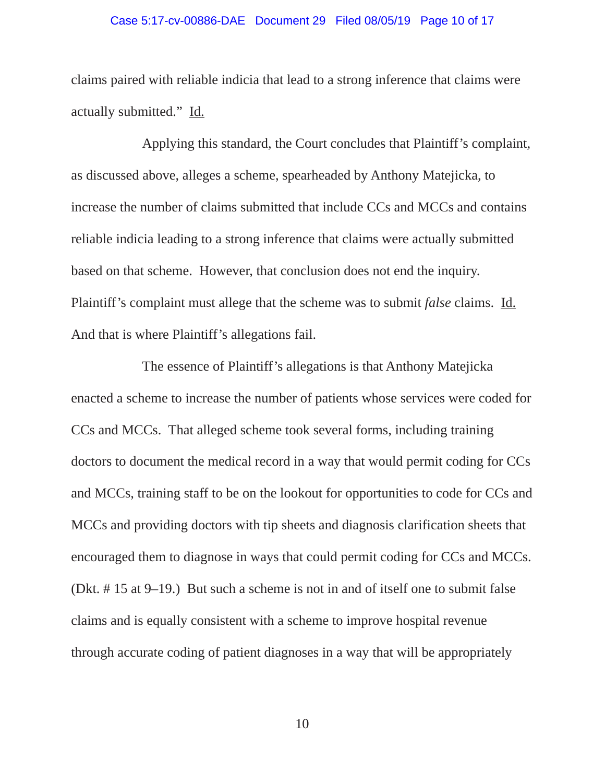#### Case 5:17-cv-00886-DAE Document 29 Filed 08/05/19 Page 10 of 17

claims paired with reliable indicia that lead to a strong inference that claims were actually submitted." Id.

 Applying this standard, the Court concludes that Plaintiff's complaint, as discussed above, alleges a scheme, spearheaded by Anthony Matejicka, to increase the number of claims submitted that include CCs and MCCs and contains reliable indicia leading to a strong inference that claims were actually submitted based on that scheme. However, that conclusion does not end the inquiry. Plaintiff's complaint must allege that the scheme was to submit *false* claims. Id. And that is where Plaintiff's allegations fail.

 The essence of Plaintiff's allegations is that Anthony Matejicka enacted a scheme to increase the number of patients whose services were coded for CCs and MCCs. That alleged scheme took several forms, including training doctors to document the medical record in a way that would permit coding for CCs and MCCs, training staff to be on the lookout for opportunities to code for CCs and MCCs and providing doctors with tip sheets and diagnosis clarification sheets that encouraged them to diagnose in ways that could permit coding for CCs and MCCs. (Dkt. # 15 at 9–19.) But such a scheme is not in and of itself one to submit false claims and is equally consistent with a scheme to improve hospital revenue through accurate coding of patient diagnoses in a way that will be appropriately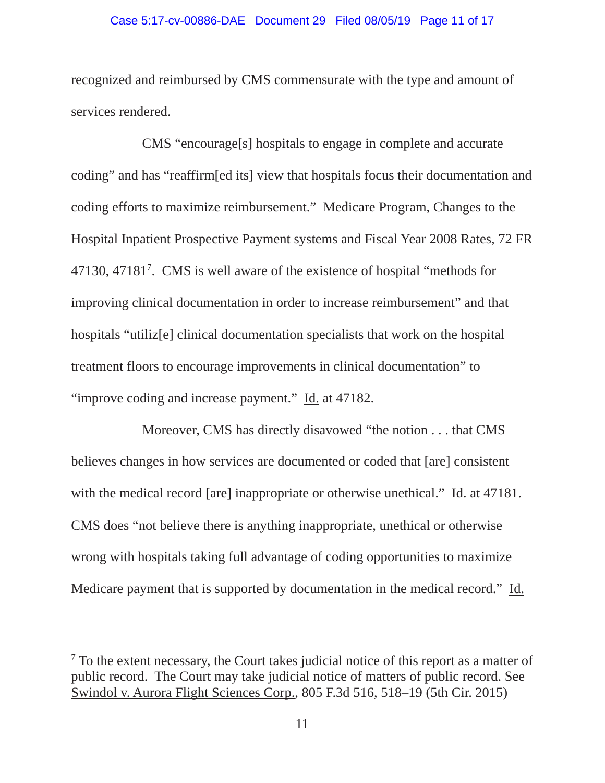#### Case 5:17-cv-00886-DAE Document 29 Filed 08/05/19 Page 11 of 17

recognized and reimbursed by CMS commensurate with the type and amount of services rendered.

 CMS "encourage[s] hospitals to engage in complete and accurate coding" and has "reaffirm[ed its] view that hospitals focus their documentation and coding efforts to maximize reimbursement." Medicare Program, Changes to the Hospital Inpatient Prospective Payment systems and Fiscal Year 2008 Rates, 72 FR 47130, 471817 . CMS is well aware of the existence of hospital "methods for improving clinical documentation in order to increase reimbursement" and that hospitals "utiliz[e] clinical documentation specialists that work on the hospital treatment floors to encourage improvements in clinical documentation" to "improve coding and increase payment." Id. at 47182.

 Moreover, CMS has directly disavowed "the notion . . . that CMS believes changes in how services are documented or coded that [are] consistent with the medical record [are] inappropriate or otherwise unethical." Id. at 47181. CMS does "not believe there is anything inappropriate, unethical or otherwise wrong with hospitals taking full advantage of coding opportunities to maximize Medicare payment that is supported by documentation in the medical record." Id.

 $\overline{a}$ 

<sup>&</sup>lt;sup>7</sup> To the extent necessary, the Court takes judicial notice of this report as a matter of public record. The Court may take judicial notice of matters of public record. See Swindol v. Aurora Flight Sciences Corp., 805 F.3d 516, 518–19 (5th Cir. 2015)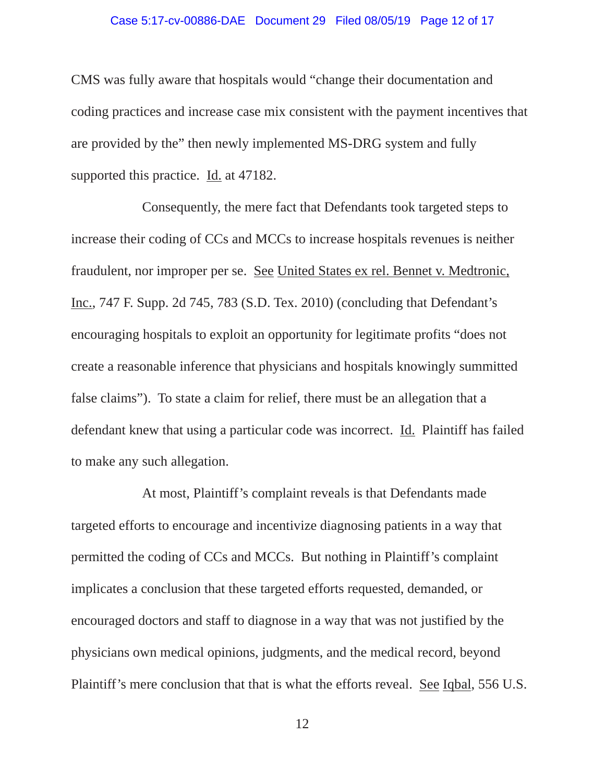#### Case 5:17-cv-00886-DAE Document 29 Filed 08/05/19 Page 12 of 17

CMS was fully aware that hospitals would "change their documentation and coding practices and increase case mix consistent with the payment incentives that are provided by the" then newly implemented MS-DRG system and fully supported this practice. Id. at 47182.

 Consequently, the mere fact that Defendants took targeted steps to increase their coding of CCs and MCCs to increase hospitals revenues is neither fraudulent, nor improper per se. See United States ex rel. Bennet v. Medtronic, Inc., 747 F. Supp. 2d 745, 783 (S.D. Tex. 2010) (concluding that Defendant's encouraging hospitals to exploit an opportunity for legitimate profits "does not create a reasonable inference that physicians and hospitals knowingly summitted false claims"). To state a claim for relief, there must be an allegation that a defendant knew that using a particular code was incorrect. Id. Plaintiff has failed to make any such allegation.

 At most, Plaintiff's complaint reveals is that Defendants made targeted efforts to encourage and incentivize diagnosing patients in a way that permitted the coding of CCs and MCCs. But nothing in Plaintiff's complaint implicates a conclusion that these targeted efforts requested, demanded, or encouraged doctors and staff to diagnose in a way that was not justified by the physicians own medical opinions, judgments, and the medical record, beyond Plaintiff's mere conclusion that that is what the efforts reveal. See Iqbal, 556 U.S.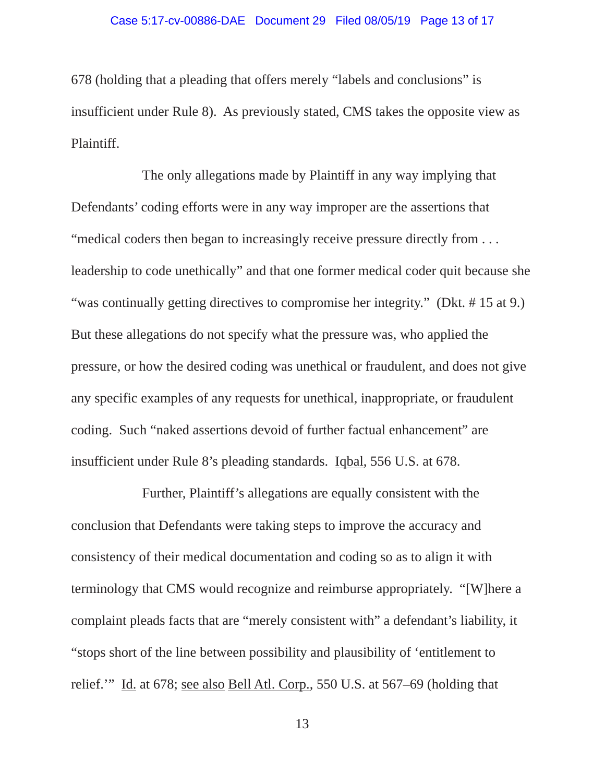#### Case 5:17-cv-00886-DAE Document 29 Filed 08/05/19 Page 13 of 17

678 (holding that a pleading that offers merely "labels and conclusions" is insufficient under Rule 8). As previously stated, CMS takes the opposite view as Plaintiff.

 The only allegations made by Plaintiff in any way implying that Defendants' coding efforts were in any way improper are the assertions that "medical coders then began to increasingly receive pressure directly from ... leadership to code unethically" and that one former medical coder quit because she "was continually getting directives to compromise her integrity." (Dkt. #15 at 9.) But these allegations do not specify what the pressure was, who applied the pressure, or how the desired coding was unethical or fraudulent, and does not give any specific examples of any requests for unethical, inappropriate, or fraudulent coding. Such "naked assertions devoid of further factual enhancement" are insufficient under Rule 8's pleading standards. Iqbal, 556 U.S. at 678.

 Further, Plaintiff's allegations are equally consistent with the conclusion that Defendants were taking steps to improve the accuracy and consistency of their medical documentation and coding so as to align it with terminology that CMS would recognize and reimburse appropriately. "[W]here a complaint pleads facts that are "merely consistent with" a defendant's liability, it "stops short of the line between possibility and plausibility of 'entitlement to relief.'" Id. at 678; see also Bell Atl. Corp., 550 U.S. at 567–69 (holding that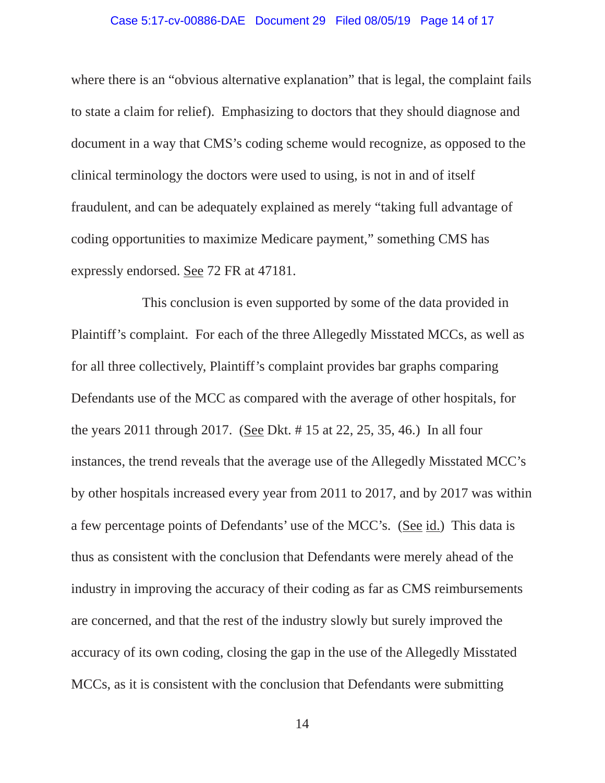### Case 5:17-cv-00886-DAE Document 29 Filed 08/05/19 Page 14 of 17

where there is an "obvious alternative explanation" that is legal, the complaint fails to state a claim for relief). Emphasizing to doctors that they should diagnose and document in a way that CMS's coding scheme would recognize, as opposed to the clinical terminology the doctors were used to using, is not in and of itself fraudulent, and can be adequately explained as merely "taking full advantage of coding opportunities to maximize Medicare payment," something CMS has expressly endorsed. See 72 FR at 47181.

 This conclusion is even supported by some of the data provided in Plaintiff's complaint. For each of the three Allegedly Misstated MCCs, as well as for all three collectively, Plaintiff's complaint provides bar graphs comparing Defendants use of the MCC as compared with the average of other hospitals, for the years 2011 through 2017. (See Dkt. # 15 at 22, 25, 35, 46.) In all four instances, the trend reveals that the average use of the Allegedly Misstated MCC's by other hospitals increased every year from 2011 to 2017, and by 2017 was within a few percentage points of Defendants' use of the MCC's. (See id.) This data is thus as consistent with the conclusion that Defendants were merely ahead of the industry in improving the accuracy of their coding as far as CMS reimbursements are concerned, and that the rest of the industry slowly but surely improved the accuracy of its own coding, closing the gap in the use of the Allegedly Misstated MCCs, as it is consistent with the conclusion that Defendants were submitting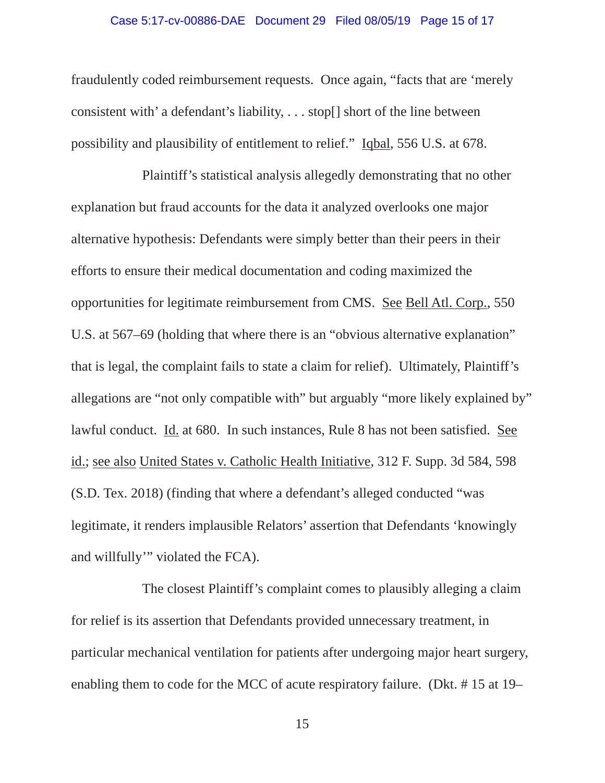### Case 5:17-cv-00886-DAE Document 29 Filed 08/05/19 Page 15 of 17

fraudulently coded reimbursement requests. Once again, "facts that are 'merely consistent with' a defendant's liability, . . . stop[] short of the line between possibility and plausibility of entitlement to relief." Iqbal, 556 U.S. at 678.

 Plaintiff's statistical analysis allegedly demonstrating that no other explanation but fraud accounts for the data it analyzed overlooks one major alternative hypothesis: Defendants were simply better than their peers in their efforts to ensure their medical documentation and coding maximized the opportunities for legitimate reimbursement from CMS. See Bell Atl. Corp., 550 U.S. at 567–69 (holding that where there is an "obvious alternative explanation" that is legal, the complaint fails to state a claim for relief). Ultimately, Plaintiff's allegations are "not only compatible with" but arguably "more likely explained by" lawful conduct. Id. at 680. In such instances, Rule 8 has not been satisfied. See id.; see also United States v. Catholic Health Initiative, 312 F. Supp. 3d 584, 598 (S.D. Tex. 2018) (finding that where a defendant's alleged conducted "was legitimate, it renders implausible Relators' assertion that Defendants 'knowingly and willfully'" violated the FCA).

 The closest Plaintiff's complaint comes to plausibly alleging a claim for relief is its assertion that Defendants provided unnecessary treatment, in particular mechanical ventilation for patients after undergoing major heart surgery, enabling them to code for the MCC of acute respiratory failure. (Dkt. # 15 at 19–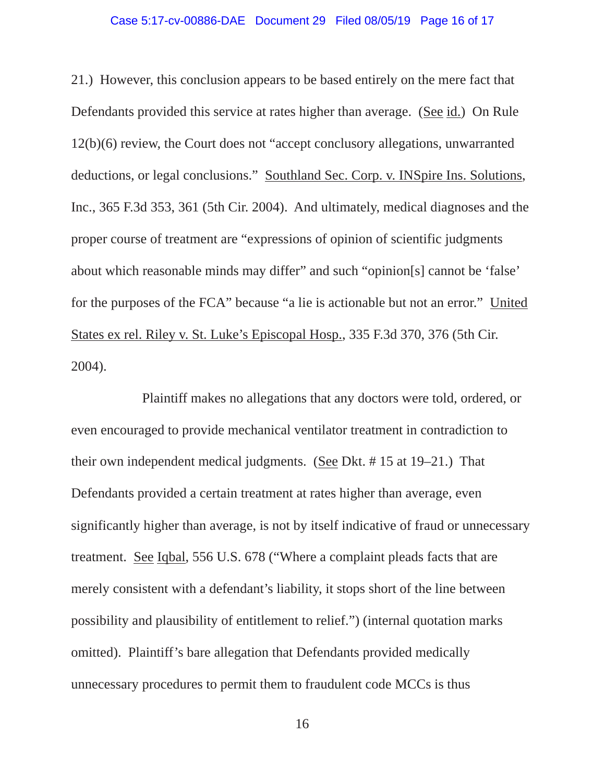### Case 5:17-cv-00886-DAE Document 29 Filed 08/05/19 Page 16 of 17

21.) However, this conclusion appears to be based entirely on the mere fact that Defendants provided this service at rates higher than average. (See id.) On Rule 12(b)(6) review, the Court does not "accept conclusory allegations, unwarranted deductions, or legal conclusions." Southland Sec. Corp. v. INSpire Ins. Solutions, Inc., 365 F.3d 353, 361 (5th Cir. 2004). And ultimately, medical diagnoses and the proper course of treatment are "expressions of opinion of scientific judgments about which reasonable minds may differ" and such "opinion[s] cannot be 'false' for the purposes of the FCA" because "a lie is actionable but not an error." United States ex rel. Riley v. St. Luke's Episcopal Hosp., 335 F.3d 370, 376 (5th Cir. 2004).

 Plaintiff makes no allegations that any doctors were told, ordered, or even encouraged to provide mechanical ventilator treatment in contradiction to their own independent medical judgments. (See Dkt. # 15 at 19–21.) That Defendants provided a certain treatment at rates higher than average, even significantly higher than average, is not by itself indicative of fraud or unnecessary treatment. See Iqbal, 556 U.S. 678 ("Where a complaint pleads facts that are merely consistent with a defendant's liability, it stops short of the line between possibility and plausibility of entitlement to relief.") (internal quotation marks omitted). Plaintiff's bare allegation that Defendants provided medically unnecessary procedures to permit them to fraudulent code MCCs is thus